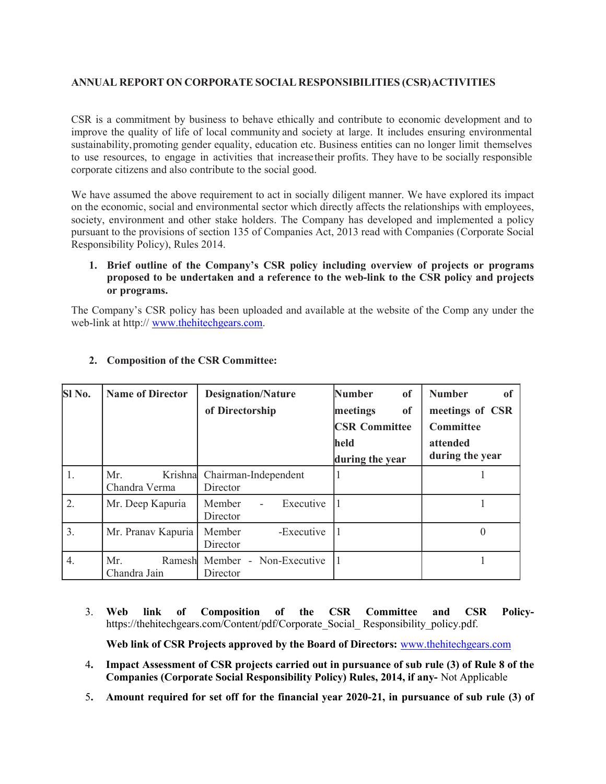## ANNUAL REPORT ON CORPORATE SOCIAL RESPONSIBILITIES (CSR) ACTIVITIES

CSR is a commitment by business to behave ethically and contribute to economic development and to improve the quality of life of local community and society at large. It includes ensuring environmental sustainability, promoting gender equality, education etc. Business entities can no longer limit themselves to use resources, to engage in activities that increase their profits. They have to be socially responsible corporate citizens and also contribute to the social good.

We have assumed the above requirement to act in socially diligent manner. We have explored its impact on the economic, social and environmental sector which directly affects the relationships with employees, society, environment and other stake holders. The Company has developed and implemented a policy pursuant to the provisions of section 135 of Companies Act, 2013 read with Companies (Corporate Social Responsibility Policy), Rules 2014.

## 1. Brief outline of the Company's CSR policy including overview of projects or programs proposed to be undertaken and a reference to the web-link to the CSR policy and projects or programs.

The Company's CSR policy has been uploaded and available at the website of the Comp any under the web-link at http:// www.thehitechgears.com.

| SI No.           | <b>Name of Director</b>         | <b>Designation/Nature</b><br>of Directorship | <b>Number</b><br>of<br>meetings<br><sub>of</sub><br><b>CSR Committee</b><br>held<br>during the year | <b>Number</b><br>of<br>meetings of CSR<br><b>Committee</b><br><i>attended</i><br>during the year |
|------------------|---------------------------------|----------------------------------------------|-----------------------------------------------------------------------------------------------------|--------------------------------------------------------------------------------------------------|
| 1.               | Mr.<br>Krishna<br>Chandra Verma | Chairman-Independent<br>Director             |                                                                                                     |                                                                                                  |
| 2.               | Mr. Deep Kapuria                | Member<br>Executive<br>Director              |                                                                                                     |                                                                                                  |
| 3.               | Mr. Pranav Kapuria              | -Executive<br>Member<br>Director             |                                                                                                     | $\theta$                                                                                         |
| $\overline{4}$ . | Mr.<br>Ramesh<br>Chandra Jain   | Member - Non-Executive<br>Director           |                                                                                                     |                                                                                                  |

## 2. Composition of the CSR Committee:

3. Web link of Composition of the CSR Committee and CSR Policyhttps://thehitechgears.com/Content/pdf/Corporate\_Social\_ Responsibility\_policy.pdf.

Web link of CSR Projects approved by the Board of Directors: www.thehitechgears.com

- 4. Impact Assessment of CSR projects carried out in pursuance of sub rule (3) of Rule 8 of the Companies (Corporate Social Responsibility Policy) Rules, 2014, if any- Not Applicable
- 5. Amount required for set off for the financial year 2020-21, in pursuance of sub rule (3) of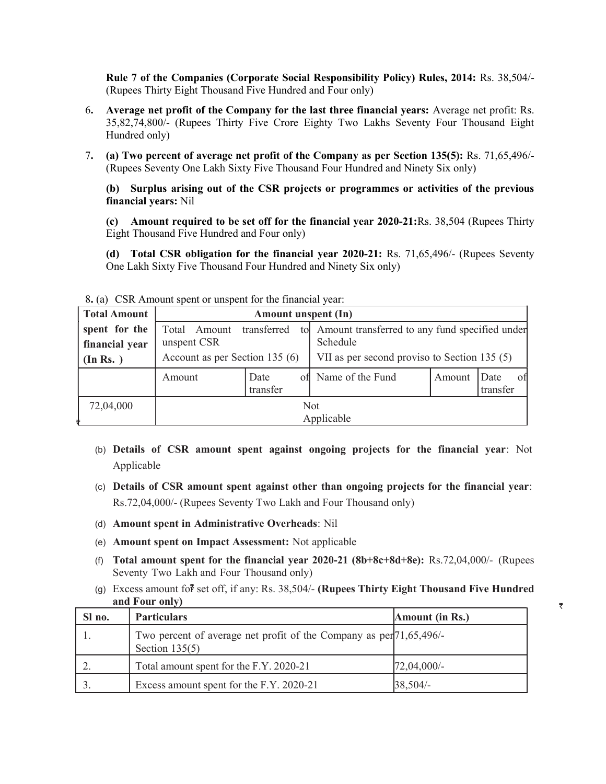Rule 7 of the Companies (Corporate Social Responsibility Policy) Rules, 2014: Rs. 38,504/- (Rupees Thirty Eight Thousand Five Hundred and Four only)

- 6. Average net profit of the Company for the last three financial years: Average net profit: Rs. 35,82,74,800/- (Rupees Thirty Five Crore Eighty Two Lakhs Seventy Four Thousand Eight Hundred only)
- 7. (a) Two percent of average net profit of the Company as per Section 135(5): Rs. 71,65,496/- (Rupees Seventy One Lakh Sixty Five Thousand Four Hundred and Ninety Six only)

 (b) Surplus arising out of the CSR projects or programmes or activities of the previous financial years: Nil

 (c) Amount required to be set off for the financial year 2020-21:Rs. 38,504 (Rupees Thirty Eight Thousand Five Hundred and Four only)

 (d) Total CSR obligation for the financial year 2020-21: Rs. 71,65,496/- (Rupees Seventy One Lakh Sixty Five Thousand Four Hundred and Ninety Six only)

| <b>Total Amount</b>                                                                                                          | Amount unspent (In) |                  |                                                                                                            |        |                        |
|------------------------------------------------------------------------------------------------------------------------------|---------------------|------------------|------------------------------------------------------------------------------------------------------------|--------|------------------------|
| spent for the<br>Amount transferred<br>Total<br>unspent CSR<br>financial year<br>Account as per Section 135 (6)<br>(In Rs. ) |                     | tol              | Amount transferred to any fund specified under<br>Schedule<br>VII as per second proviso to Section 135 (5) |        |                        |
|                                                                                                                              | Amount              | Date<br>transfer | of Name of the Fund                                                                                        | Amount | Date<br>Οİ<br>transfer |
| 72,04,000                                                                                                                    | Not<br>Applicable   |                  |                                                                                                            |        |                        |

8. (a) CSR Amount spent or unspent for the financial year:

- (b) Details of CSR amount spent against ongoing projects for the financial year: Not Applicable
- (c) Details of CSR amount spent against other than ongoing projects for the financial year: Rs.72,04,000/- (Rupees Seventy Two Lakh and Four Thousand only)
- (d) Amount spent in Administrative Overheads: Nil
- (e) Amount spent on Impact Assessment: Not applicable
- (f) Total amount spent for the financial year  $2020-21$   $(8b+8c+8d+8e)$ : Rs.72,04,000/- (Rupees Seventy Two Lakh and Four Thousand only)
- (g) Excess amount for set off, if any: Rs. 38,504/- (Rupees Thirty Eight Thousand Five Hundred and Four only)

| Sl no. | <b>Particulars</b>                                                                      | Amount (in Rs.) |
|--------|-----------------------------------------------------------------------------------------|-----------------|
|        | Two percent of average net profit of the Company as per 71,65,496/-<br>Section $135(5)$ |                 |
|        | Total amount spent for the F.Y. 2020-21                                                 | $72,04,000/$ -  |
|        | Excess amount spent for the F.Y. 2020-21                                                | $38,504/-$      |